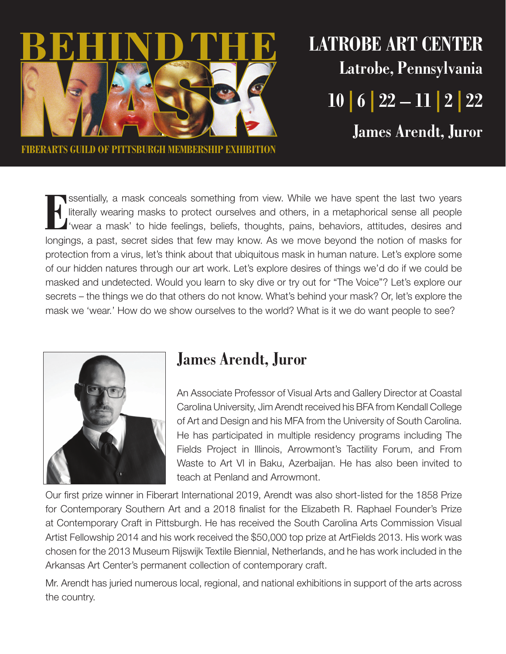

**Latrobe Art Center Latrobe, Pennsylvania 10 | 6 | 22 – 11 | 2 | 22 James Arendt, Juror**

**Fiberarts Guild of Pittsburgh Membership Exhibition** 

**EX** literally, a mask conceals something from view. While we have spent the last two years literally wearing masks to protect ourselves and others, in a metaphorical sense all people (wear a mask) to hide feelings, belief ssentially, a mask conceals something from view. While we have spent the last two years literally wearing masks to protect ourselves and others, in a metaphorical sense all people 'wear a mask' to hide feelings, beliefs, thoughts, pains, behaviors, attitudes, desires and protection from a virus, let's think about that ubiquitous mask in human nature. Let's explore some of our hidden natures through our art work. Let's explore desires of things we'd do if we could be masked and undetected. Would you learn to sky dive or try out for "The Voice"? Let's explore our secrets – the things we do that others do not know. What's behind your mask? Or, let's explore the mask we 'wear.' How do we show ourselves to the world? What is it we do want people to see?



## **James Arendt, Juror**

An Associate Professor of Visual Arts and Gallery Director at Coastal Carolina University, Jim Arendt received his BFA from Kendall College of Art and Design and his MFA from the University of South Carolina. He has participated in multiple residency programs including The Fields Project in Illinois, Arrowmont's Tactility Forum, and From Waste to Art VI in Baku, Azerbaijan. He has also been invited to teach at Penland and Arrowmont.

Our first prize winner in Fiberart International 2019, Arendt was also short-listed for the 1858 Prize for Contemporary Southern Art and a 2018 finalist for the Elizabeth R. Raphael Founder's Prize at Contemporary Craft in Pittsburgh. He has received the South Carolina Arts Commission Visual Artist Fellowship 2014 and his work received the \$50,000 top prize at ArtFields 2013. His work was chosen for the 2013 Museum Rijswijk Textile Biennial, Netherlands, and he has work included in the Arkansas Art Center's permanent collection of contemporary craft.

Mr. Arendt has juried numerous local, regional, and national exhibitions in support of the arts across the country.